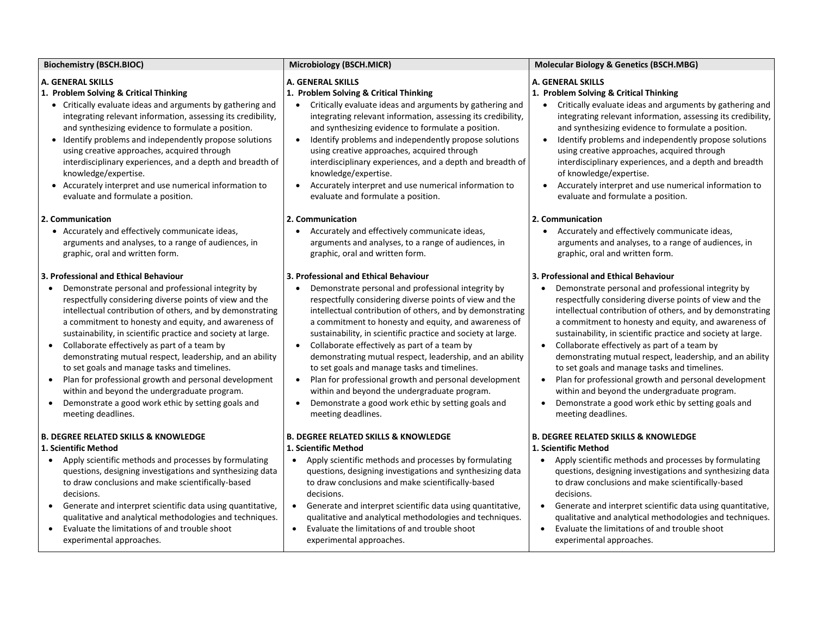| <b>Biochemistry (BSCH.BIOC)</b>                                                                                                                                                                                                                                                                                                                                                                                                                                                                                                                                                                                                                                                                                                                  | Microbiology (BSCH.MICR)                                                                                                                                                                                                                                                                                                                                                                                                                                                                                                                                                                                                                                                                                  | <b>Molecular Biology &amp; Genetics (BSCH.MBG)</b>                                                                                                                                                                                                                                                                                                                                                                                                                                                                                                                                                                                                                                                                       |
|--------------------------------------------------------------------------------------------------------------------------------------------------------------------------------------------------------------------------------------------------------------------------------------------------------------------------------------------------------------------------------------------------------------------------------------------------------------------------------------------------------------------------------------------------------------------------------------------------------------------------------------------------------------------------------------------------------------------------------------------------|-----------------------------------------------------------------------------------------------------------------------------------------------------------------------------------------------------------------------------------------------------------------------------------------------------------------------------------------------------------------------------------------------------------------------------------------------------------------------------------------------------------------------------------------------------------------------------------------------------------------------------------------------------------------------------------------------------------|--------------------------------------------------------------------------------------------------------------------------------------------------------------------------------------------------------------------------------------------------------------------------------------------------------------------------------------------------------------------------------------------------------------------------------------------------------------------------------------------------------------------------------------------------------------------------------------------------------------------------------------------------------------------------------------------------------------------------|
| A. GENERAL SKILLS<br>1. Problem Solving & Critical Thinking<br>• Critically evaluate ideas and arguments by gathering and<br>integrating relevant information, assessing its credibility,<br>and synthesizing evidence to formulate a position.<br>• Identify problems and independently propose solutions<br>using creative approaches, acquired through<br>interdisciplinary experiences, and a depth and breadth of<br>knowledge/expertise.<br>• Accurately interpret and use numerical information to<br>evaluate and formulate a position.                                                                                                                                                                                                  | A. GENERAL SKILLS<br>1. Problem Solving & Critical Thinking<br>Critically evaluate ideas and arguments by gathering and<br>integrating relevant information, assessing its credibility,<br>and synthesizing evidence to formulate a position.<br>Identify problems and independently propose solutions<br>using creative approaches, acquired through<br>interdisciplinary experiences, and a depth and breadth of<br>knowledge/expertise.<br>Accurately interpret and use numerical information to<br>$\bullet$<br>evaluate and formulate a position.                                                                                                                                                    | <b>A. GENERAL SKILLS</b><br>1. Problem Solving & Critical Thinking<br>Critically evaluate ideas and arguments by gathering and<br>integrating relevant information, assessing its credibility,<br>and synthesizing evidence to formulate a position.<br>Identify problems and independently propose solutions<br>$\bullet$<br>using creative approaches, acquired through<br>interdisciplinary experiences, and a depth and breadth<br>of knowledge/expertise.<br>Accurately interpret and use numerical information to<br>$\bullet$<br>evaluate and formulate a position.                                                                                                                                               |
| 2. Communication<br>• Accurately and effectively communicate ideas,<br>arguments and analyses, to a range of audiences, in<br>graphic, oral and written form.                                                                                                                                                                                                                                                                                                                                                                                                                                                                                                                                                                                    | 2. Communication<br>Accurately and effectively communicate ideas,<br>arguments and analyses, to a range of audiences, in<br>graphic, oral and written form.                                                                                                                                                                                                                                                                                                                                                                                                                                                                                                                                               | 2. Communication<br>Accurately and effectively communicate ideas,<br>arguments and analyses, to a range of audiences, in<br>graphic, oral and written form.                                                                                                                                                                                                                                                                                                                                                                                                                                                                                                                                                              |
| 3. Professional and Ethical Behaviour<br>Demonstrate personal and professional integrity by<br>$\bullet$<br>respectfully considering diverse points of view and the<br>intellectual contribution of others, and by demonstrating<br>a commitment to honesty and equity, and awareness of<br>sustainability, in scientific practice and society at large.<br>Collaborate effectively as part of a team by<br>$\bullet$<br>demonstrating mutual respect, leadership, and an ability<br>to set goals and manage tasks and timelines.<br>Plan for professional growth and personal development<br>$\bullet$<br>within and beyond the undergraduate program.<br>Demonstrate a good work ethic by setting goals and<br>$\bullet$<br>meeting deadlines. | 3. Professional and Ethical Behaviour<br>Demonstrate personal and professional integrity by<br>$\bullet$<br>respectfully considering diverse points of view and the<br>intellectual contribution of others, and by demonstrating<br>a commitment to honesty and equity, and awareness of<br>sustainability, in scientific practice and society at large.<br>Collaborate effectively as part of a team by<br>demonstrating mutual respect, leadership, and an ability<br>to set goals and manage tasks and timelines.<br>Plan for professional growth and personal development<br>within and beyond the undergraduate program.<br>Demonstrate a good work ethic by setting goals and<br>meeting deadlines. | 3. Professional and Ethical Behaviour<br>Demonstrate personal and professional integrity by<br>respectfully considering diverse points of view and the<br>intellectual contribution of others, and by demonstrating<br>a commitment to honesty and equity, and awareness of<br>sustainability, in scientific practice and society at large.<br>• Collaborate effectively as part of a team by<br>demonstrating mutual respect, leadership, and an ability<br>to set goals and manage tasks and timelines.<br>Plan for professional growth and personal development<br>$\bullet$<br>within and beyond the undergraduate program.<br>Demonstrate a good work ethic by setting goals and<br>$\bullet$<br>meeting deadlines. |
| <b>B. DEGREE RELATED SKILLS &amp; KNOWLEDGE</b><br>1. Scientific Method<br>Apply scientific methods and processes by formulating<br>$\bullet$<br>questions, designing investigations and synthesizing data<br>to draw conclusions and make scientifically-based<br>decisions.<br>Generate and interpret scientific data using quantitative,<br>$\bullet$<br>qualitative and analytical methodologies and techniques.<br>Evaluate the limitations of and trouble shoot<br>$\bullet$<br>experimental approaches.                                                                                                                                                                                                                                   | <b>B. DEGREE RELATED SKILLS &amp; KNOWLEDGE</b><br>1. Scientific Method<br>Apply scientific methods and processes by formulating<br>$\bullet$<br>questions, designing investigations and synthesizing data<br>to draw conclusions and make scientifically-based<br>decisions.<br>Generate and interpret scientific data using quantitative,<br>$\bullet$<br>qualitative and analytical methodologies and techniques.<br>Evaluate the limitations of and trouble shoot<br>$\bullet$<br>experimental approaches.                                                                                                                                                                                            | <b>B. DEGREE RELATED SKILLS &amp; KNOWLEDGE</b><br>1. Scientific Method<br>Apply scientific methods and processes by formulating<br>questions, designing investigations and synthesizing data<br>to draw conclusions and make scientifically-based<br>decisions.<br>Generate and interpret scientific data using quantitative,<br>qualitative and analytical methodologies and techniques.<br>Evaluate the limitations of and trouble shoot<br>$\bullet$<br>experimental approaches.                                                                                                                                                                                                                                     |